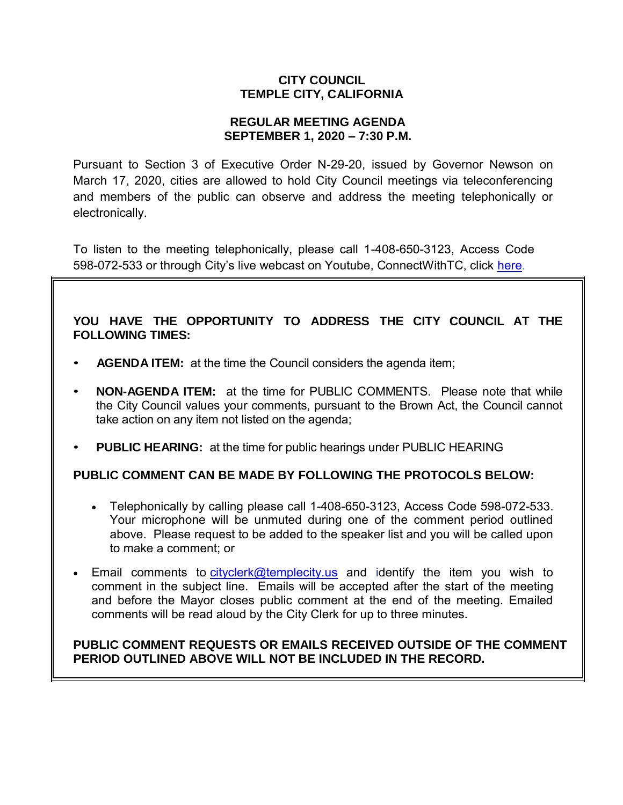## **CITY COUNCIL TEMPLE CITY, CALIFORNIA**

## **REGULAR MEETING AGENDA SEPTEMBER 1, 2020 – 7:30 P.M.**

Pursuant to Section 3 of Executive Order N-29-20, issued by Governor Newson on March 17, 2020, cities are allowed to hold City Council meetings via teleconferencing and members of the public can observe and address the meeting telephonically or electronically.

To listen to the meeting telephonically, please call 1-408-650-3123, Access Code 598-072-533 or through City's live webcast on Youtube, ConnectWithTC, click [here.](https://www.ci.temple-city.ca.us/516/Meeting-Webcast)

# **YOU HAVE THE OPPORTUNITY TO ADDRESS THE CITY COUNCIL AT THE FOLLOWING TIMES:**

- **AGENDA ITEM:** at the time the Council considers the agenda item;
- **NON-AGENDA ITEM:** at the time for PUBLIC COMMENTS. Please note that while the City Council values your comments, pursuant to the Brown Act, the Council cannot take action on any item not listed on the agenda;
- **PUBLIC HEARING:** at the time for public hearings under PUBLIC HEARING

# **PUBLIC COMMENT CAN BE MADE BY FOLLOWING THE PROTOCOLS BELOW:**

- Telephonically by calling please call 1-408-650-3123, Access Code 598-072-533. Your microphone will be unmuted during one of the comment period outlined above. Please request to be added to the speaker list and you will be called upon to make a comment; or
- Email comments to [cityclerk@templecity.us](mailto:cityclerk@templecity.us) and identify the item you wish to comment in the subject line. Emails will be accepted after the start of the meeting and before the Mayor closes public comment at the end of the meeting. Emailed comments will be read aloud by the City Clerk for up to three minutes.

## **PUBLIC COMMENT REQUESTS OR EMAILS RECEIVED OUTSIDE OF THE COMMENT PERIOD OUTLINED ABOVE WILL NOT BE INCLUDED IN THE RECORD.**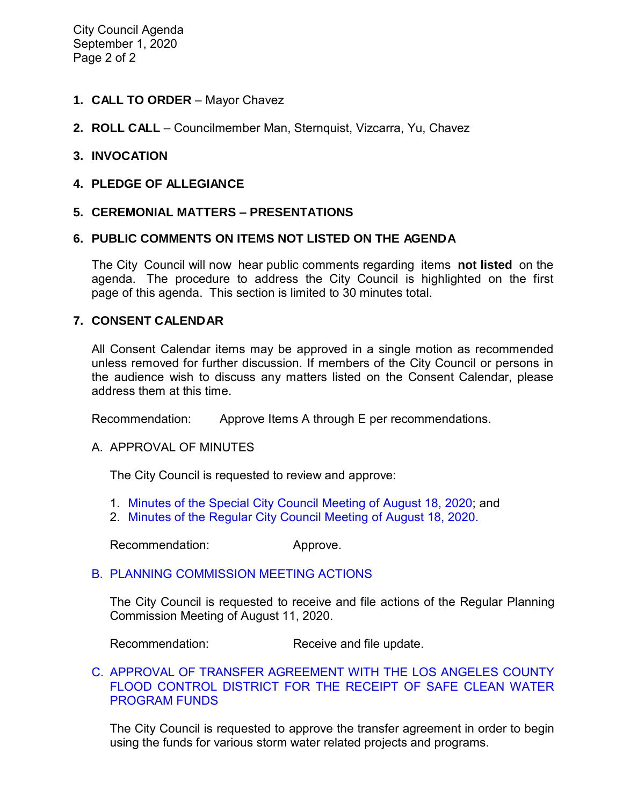City Council Agenda September 1, 2020 Page 2 of 2

- **1. CALL TO ORDER**  Mayor Chavez
- **2. ROLL CALL**  Councilmember Man, Sternquist, Vizcarra, Yu, Chavez

#### **3. INVOCATION**

**4. PLEDGE OF ALLEGIANCE** 

#### **5. CEREMONIAL MATTERS – PRESENTATIONS**

#### **6. PUBLIC COMMENTS ON ITEMS NOT LISTED ON THE AGENDA**

The City Council will now hear public comments regarding items **not listed** on the agenda. The procedure to address the City Council is highlighted on the first page of this agenda. This section is limited to 30 minutes total.

#### **7. CONSENT CALENDAR**

All Consent Calendar items may be approved in a single motion as recommended unless removed for further discussion. If members of the City Council or persons in the audience wish to discuss any matters listed on the Consent Calendar, please address them at this time.

Recommendation: Approve Items A through E per recommendations.

#### A. APPROVAL OF MINUTES

The City Council is requested to review and approve:

- 1. [Minutes of the Special City Council Meeting of August 18,](https://ca-templecity.civicplus.com/DocumentCenter/View/14983/7A-1-Special-City-Council-Minutes-2020-08-18) 2020; and
- 2. [Minutes of the Regular City Council Meeting of August 18, 2020.](https://ca-templecity.civicplus.com/DocumentCenter/View/14984/7A-2-CCM---2020-08-18)

Recommendation: Approve.

## [B. PLANNING COMMISSION MEETING ACTIONS](https://ca-templecity.civicplus.com/DocumentCenter/View/14985/7B-Planning-Commission-Actions-2020-08-11)

The City Council is requested to receive and file actions of the Regular Planning Commission Meeting of August 11, 2020.

Recommendation: Receive and file update.

#### [C. APPROVAL OF TRANSFER AGREEMENT WITH THE LOS ANGELES COUNTY](https://ca-templecity.civicplus.com/DocumentCenter/View/14986/7C-Safe-Clean-Water-Program-Municipal-Program_Staff-Report-with-attachment)  [FLOOD CONTROL DISTRICT FOR THE RECEIPT OF SAFE CLEAN WATER](https://ca-templecity.civicplus.com/DocumentCenter/View/14986/7C-Safe-Clean-Water-Program-Municipal-Program_Staff-Report-with-attachment)  [PROGRAM FUNDS](https://ca-templecity.civicplus.com/DocumentCenter/View/14986/7C-Safe-Clean-Water-Program-Municipal-Program_Staff-Report-with-attachment)

The City Council is requested to approve the transfer agreement in order to begin using the funds for various storm water related projects and programs.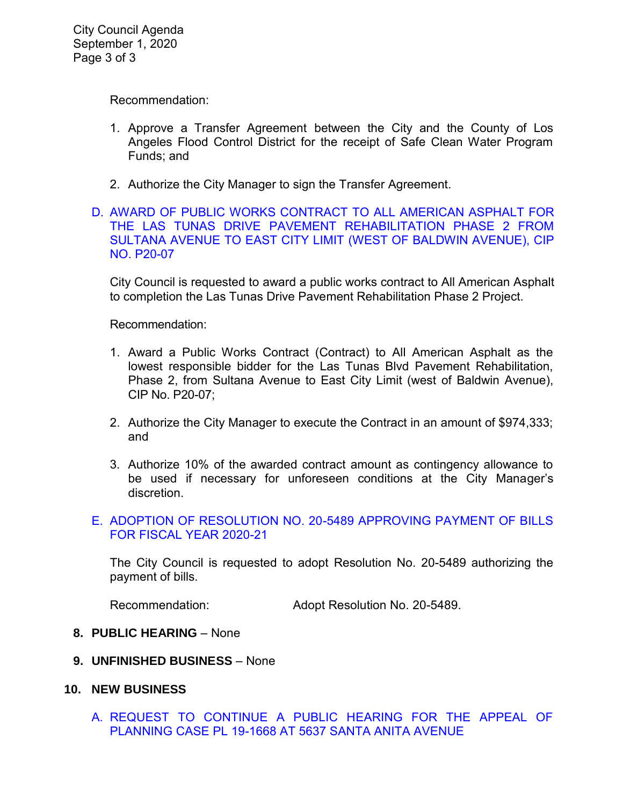Recommendation:

- 1. Approve a Transfer Agreement between the City and the County of Los Angeles Flood Control District for the receipt of Safe Clean Water Program Funds; and
- 2. Authorize the City Manager to sign the Transfer Agreement.
- [D. AWARD OF PUBLIC WORKS CONTRACT TO ALL AMERICAN ASPHALT FOR](https://ca-templecity.civicplus.com/DocumentCenter/View/14987/7D-Award-of-Contract-for-Las-Tunas-Drive-Pavement-Rehab-Phase-2_Staff-Report_V3-with-attachments)  [THE LAS TUNAS DRIVE PAVEMENT REHABILITATION PHASE 2 FROM](https://ca-templecity.civicplus.com/DocumentCenter/View/14987/7D-Award-of-Contract-for-Las-Tunas-Drive-Pavement-Rehab-Phase-2_Staff-Report_V3-with-attachments)  [SULTANA AVENUE TO EAST CITY LIMIT \(WEST OF BALDWIN AVENUE\), CIP](https://ca-templecity.civicplus.com/DocumentCenter/View/14987/7D-Award-of-Contract-for-Las-Tunas-Drive-Pavement-Rehab-Phase-2_Staff-Report_V3-with-attachments)  [NO. P20-07](https://ca-templecity.civicplus.com/DocumentCenter/View/14987/7D-Award-of-Contract-for-Las-Tunas-Drive-Pavement-Rehab-Phase-2_Staff-Report_V3-with-attachments)

City Council is requested to award a public works contract to All American Asphalt to completion the Las Tunas Drive Pavement Rehabilitation Phase 2 Project.

Recommendation:

- 1. Award a Public Works Contract (Contract) to All American Asphalt as the lowest responsible bidder for the Las Tunas Blvd Pavement Rehabilitation, Phase 2, from Sultana Avenue to East City Limit (west of Baldwin Avenue), CIP No. P20-07;
- 2. Authorize the City Manager to execute the Contract in an amount of \$974,333; and
- 3. Authorize 10% of the awarded contract amount as contingency allowance to be used if necessary for unforeseen conditions at the City Manager's discretion.

## [E. ADOPTION OF RESOLUTION NO. 20-5489 APPROVING PAYMENT OF BILLS](https://ca-templecity.civicplus.com/DocumentCenter/View/14988/7E-CC-Warrant)  [FOR FISCAL YEAR 2020-21](https://ca-templecity.civicplus.com/DocumentCenter/View/14988/7E-CC-Warrant)

The City Council is requested to adopt Resolution No. 20-5489 authorizing the payment of bills.

Recommendation: Adopt Resolution No. 20-5489.

## **8. PUBLIC HEARING** – None

- **9. UNFINISHED BUSINESS**  None
- **10. NEW BUSINESS**
	- [A. REQUEST TO CONTINUE A PUBLIC HEARING FOR THE APPEAL OF](https://ca-templecity.civicplus.com/DocumentCenter/View/15006/10A-Request-to-Continue-a-Public-Hearing-for-the-Appeal-of-Planning-Case-at-5637-Santa-Anita-Ave)  [PLANNING CASE PL 19-1668 AT 5637 SANTA ANITA AVENUE](https://ca-templecity.civicplus.com/DocumentCenter/View/15006/10A-Request-to-Continue-a-Public-Hearing-for-the-Appeal-of-Planning-Case-at-5637-Santa-Anita-Ave)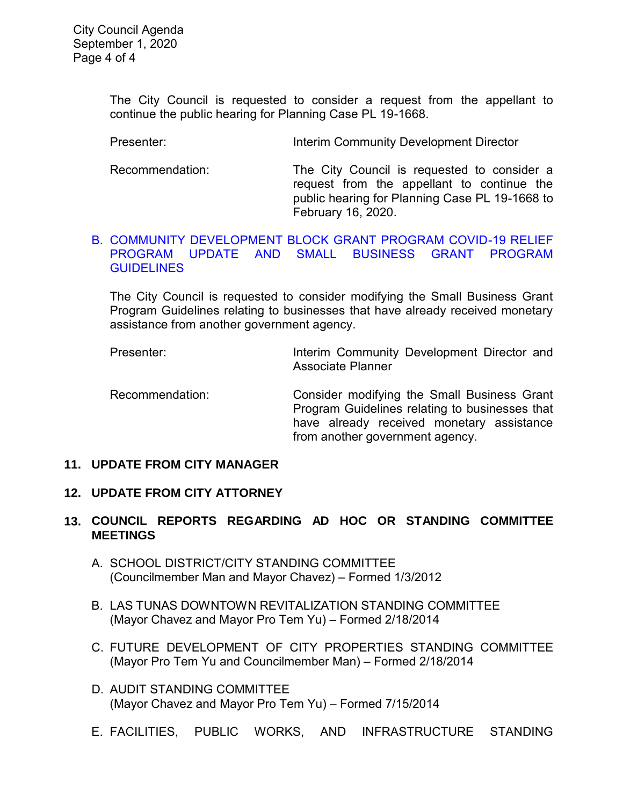The City Council is requested to consider a request from the appellant to continue the public hearing for Planning Case PL 19-1668.

Presenter: Interim Community Development Director

Recommendation: The City Council is requested to consider a request from the appellant to continue the public hearing for Planning Case PL 19-1668 to February 16, 2020.

#### [B. COMMUNITY DEVELOPMENT BLOCK GRANT PROGRAM COVID-19 RELIEF](https://ca-templecity.civicplus.com/DocumentCenter/View/15007/10B-CDBG-COVID-19-Programs_Staff-Report_CM-edits)  [PROGRAM UPDATE AND SMALL BUSINESS GRANT PROGRAM](https://ca-templecity.civicplus.com/DocumentCenter/View/15007/10B-CDBG-COVID-19-Programs_Staff-Report_CM-edits)  **[GUIDELINES](https://ca-templecity.civicplus.com/DocumentCenter/View/15007/10B-CDBG-COVID-19-Programs_Staff-Report_CM-edits)**

The City Council is requested to consider modifying the Small Business Grant Program Guidelines relating to businesses that have already received monetary assistance from another government agency.

Presenter: **Interim Community Development Director and** Associate Planner

Recommendation: Consider modifying the Small Business Grant Program Guidelines relating to businesses that have already received monetary assistance from another government agency.

#### **11. UPDATE FROM CITY MANAGER**

## **12. UPDATE FROM CITY ATTORNEY**

# **13. COUNCIL REPORTS REGARDING AD HOC OR STANDING COMMITTEE MEETINGS**

- A. SCHOOL DISTRICT/CITY STANDING COMMITTEE (Councilmember Man and Mayor Chavez) – Formed 1/3/2012
- B. LAS TUNAS DOWNTOWN REVITALIZATION STANDING COMMITTEE (Mayor Chavez and Mayor Pro Tem Yu) – Formed 2/18/2014
- C. FUTURE DEVELOPMENT OF CITY PROPERTIES STANDING COMMITTEE (Mayor Pro Tem Yu and Councilmember Man) – Formed 2/18/2014
- D. AUDIT STANDING COMMITTEE (Mayor Chavez and Mayor Pro Tem Yu) – Formed 7/15/2014
- E. FACILITIES, PUBLIC WORKS, AND INFRASTRUCTURE STANDING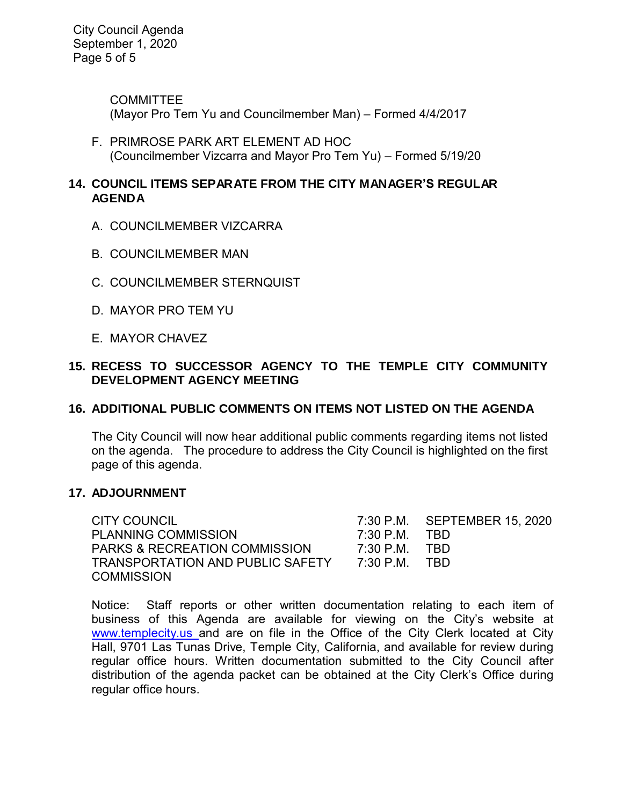City Council Agenda September 1, 2020 Page 5 of 5

> **COMMITTEE** (Mayor Pro Tem Yu and Councilmember Man) – Formed 4/4/2017

F. PRIMROSE PARK ART ELEMENT AD HOC (Councilmember Vizcarra and Mayor Pro Tem Yu) – Formed 5/19/20

## **14. COUNCIL ITEMS SEPARATE FROM THE CITY MANAGER'S REGULAR AGENDA**

- A. COUNCILMEMBER VIZCARRA
- B. COUNCILMEMBER MAN
- C. COUNCILMEMBER STERNQUIST
- D. MAYOR PRO TEM YU
- E. MAYOR CHAVEZ

# **15. RECESS TO SUCCESSOR AGENCY TO THE TEMPLE CITY COMMUNITY DEVELOPMENT AGENCY MEETING**

## **16. ADDITIONAL PUBLIC COMMENTS ON ITEMS NOT LISTED ON THE AGENDA**

 The City Council will now hear additional public comments regarding items not listed on the agenda. The procedure to address the City Council is highlighted on the first page of this agenda.

## **17. ADJOURNMENT**

CITY COUNCIL 7:30 P.M. SEPTEMBER 15, 2020 PLANNING COMMISSION 7:30 P.M. TBD PARKS & RECREATION COMMISSION 7:30 P.M. TBD TRANSPORTATION AND PUBLIC SAFETY 7:30 P.M. TBD **COMMISSION** 

Notice: Staff reports or other written documentation relating to each item of business of this Agenda are available for viewing on the City's website at [www.templecity.us](http://www.templecity.us/) and are on file in the Office of the City Clerk located at City Hall, 9701 Las Tunas Drive, Temple City, California, and available for review during regular office hours. Written documentation submitted to the City Council after distribution of the agenda packet can be obtained at the City Clerk's Office during regular office hours.